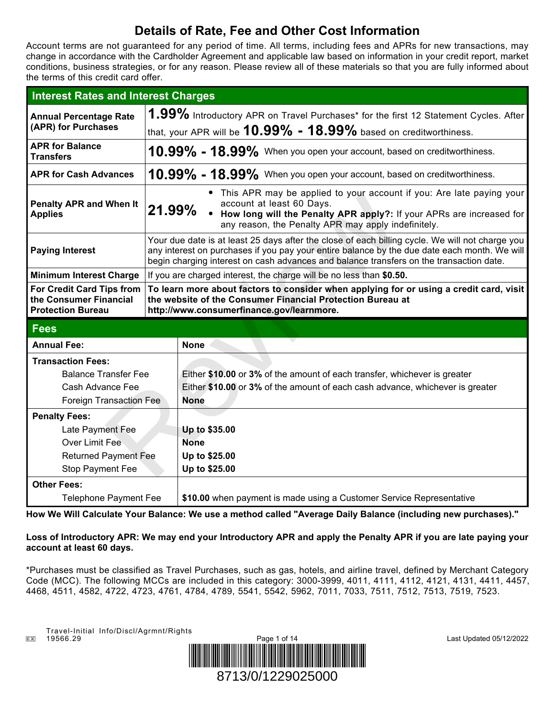# **Details of Rate, Fee and Other Cost Information**

Account terms are not guaranteed for any period of time. All terms, including fees and APRs for new transactions, may change in accordance with the Cardholder Agreement and applicable law based on information in your credit report, market conditions, business strategies, or for any reason. Please review all of these materials so that you are fully informed about the terms of this credit card offer.

| <b>Interest Rates and Interest Charges</b>                                      |                                                                                                                                                                                                                                                                                            |                                                                                      |  |
|---------------------------------------------------------------------------------|--------------------------------------------------------------------------------------------------------------------------------------------------------------------------------------------------------------------------------------------------------------------------------------------|--------------------------------------------------------------------------------------|--|
| <b>Annual Percentage Rate</b><br>(APR) for Purchases                            |                                                                                                                                                                                                                                                                                            | 1.99% Introductory APR on Travel Purchases* for the first 12 Statement Cycles. After |  |
|                                                                                 |                                                                                                                                                                                                                                                                                            | that, your APR will be $10.99\%$ - $18.99\%$ based on creditworthiness.              |  |
| <b>APR for Balance</b><br><b>Transfers</b>                                      | $10.99\%$ - $18.99\%$ When you open your account, based on creditworthiness.                                                                                                                                                                                                               |                                                                                      |  |
| <b>APR for Cash Advances</b>                                                    |                                                                                                                                                                                                                                                                                            | $10.99\%$ - $18.99\%$ When you open your account, based on creditworthiness.         |  |
| <b>Penalty APR and When It</b><br><b>Applies</b>                                | • This APR may be applied to your account if you: Are late paying your<br>account at least 60 Days.<br>21.99% • How long will the Penalty APR apply?: If your APRs are increased for<br>any reason, the Penalty APR may apply indefinitely.                                                |                                                                                      |  |
| <b>Paying Interest</b>                                                          | Your due date is at least 25 days after the close of each billing cycle. We will not charge you<br>any interest on purchases if you pay your entire balance by the due date each month. We will<br>begin charging interest on cash advances and balance transfers on the transaction date. |                                                                                      |  |
| <b>Minimum Interest Charge</b>                                                  |                                                                                                                                                                                                                                                                                            | If you are charged interest, the charge will be no less than \$0.50.                 |  |
| For Credit Card Tips from<br>the Consumer Financial<br><b>Protection Bureau</b> | To learn more about factors to consider when applying for or using a credit card, visit<br>the website of the Consumer Financial Protection Bureau at<br>http://www.consumerfinance.gov/learnmore.                                                                                         |                                                                                      |  |
| <b>Fees</b>                                                                     |                                                                                                                                                                                                                                                                                            |                                                                                      |  |
| <b>Annual Fee:</b>                                                              |                                                                                                                                                                                                                                                                                            | <b>None</b>                                                                          |  |
| <b>Transaction Fees:</b>                                                        |                                                                                                                                                                                                                                                                                            |                                                                                      |  |
| <b>Balance Transfer Fee</b>                                                     |                                                                                                                                                                                                                                                                                            | Either \$10.00 or 3% of the amount of each transfer, whichever is greater            |  |
| Cash Advance Fee                                                                |                                                                                                                                                                                                                                                                                            | Either \$10.00 or 3% of the amount of each cash advance, whichever is greater        |  |
| <b>Foreign Transaction Fee</b>                                                  |                                                                                                                                                                                                                                                                                            | <b>None</b>                                                                          |  |
| <b>Penalty Fees:</b>                                                            |                                                                                                                                                                                                                                                                                            |                                                                                      |  |
| Late Payment Fee                                                                |                                                                                                                                                                                                                                                                                            | Up to \$35.00                                                                        |  |
| <b>Over Limit Fee</b>                                                           |                                                                                                                                                                                                                                                                                            | <b>None</b>                                                                          |  |
| <b>Returned Payment Fee</b>                                                     |                                                                                                                                                                                                                                                                                            | Up to \$25.00                                                                        |  |
| Stop Payment Fee                                                                |                                                                                                                                                                                                                                                                                            | Up to \$25.00                                                                        |  |
| <b>Other Fees:</b>                                                              |                                                                                                                                                                                                                                                                                            |                                                                                      |  |
| <b>Telephone Payment Fee</b>                                                    |                                                                                                                                                                                                                                                                                            | \$10.00 when payment is made using a Customer Service Representative                 |  |

**How We Will Calculate Your Balance: We use a method called "Average Daily Balance (including new purchases)."**

# **Loss of Introductory APR: We may end your Introductory APR and apply the Penalty APR if you are late paying your account at least 60 days.**

\*Purchases must be classified as Travel Purchases, such as gas, hotels, and airline travel, defined by Merchant Category Code (MCC). The following MCCs are included in this category: 3000-3999, 4011, 4111, 4112, 4121, 4131, 4411, 4457, 4468, 4511, 4582, 4722, 4723, 4761, 4784, 4789, 5541, 5542, 5962, 7011, 7033, 7511, 7512, 7513, 7519, 7523.

Travel-Initial Info/Discl/Agrmnt/Rights<br>EX 19566.29



Last Updated 05/12/2022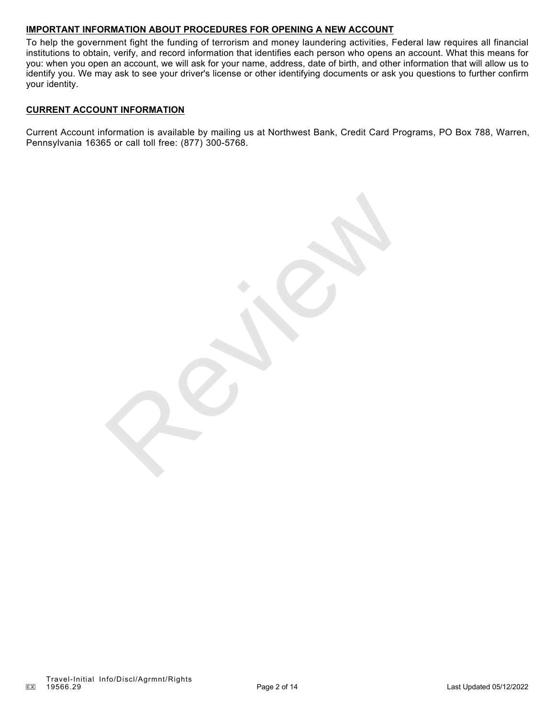# **IMPORTANT INFORMATION ABOUT PROCEDURES FOR OPENING A NEW ACCOUNT**

To help the government fight the funding of terrorism and money laundering activities, Federal law requires all financial institutions to obtain, verify, and record information that identifies each person who opens an account. What this means for you: when you open an account, we will ask for your name, address, date of birth, and other information that will allow us to identify you. We may ask to see your driver's license or other identifying documents or ask you questions to further confirm your identity.

# **CURRENT ACCOUNT INFORMATION**

Current Account information is available by mailing us at Northwest Bank, Credit Card Programs, PO Box 788, Warren, Pennsylvania 16365 or call toll free: (877) 300-5768.

Reviews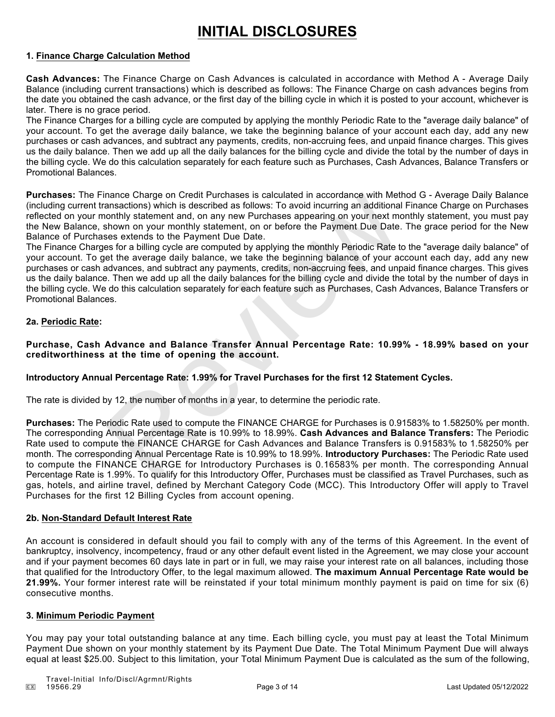# **INITIAL DISCLOSURES**

## **1. Finance Charge Calculation Method**

**Cash Advances:** The Finance Charge on Cash Advances is calculated in accordance with Method A - Average Daily Balance (including current transactions) which is described as follows: The Finance Charge on cash advances begins from the date you obtained the cash advance, or the first day of the billing cycle in which it is posted to your account, whichever is later. There is no grace period.

The Finance Charges for a billing cycle are computed by applying the monthly Periodic Rate to the "average daily balance" of your account. To get the average daily balance, we take the beginning balance of your account each day, add any new purchases or cash advances, and subtract any payments, credits, non-accruing fees, and unpaid finance charges. This gives us the daily balance. Then we add up all the daily balances for the billing cycle and divide the total by the number of days in the billing cycle. We do this calculation separately for each feature such as Purchases, Cash Advances, Balance Transfers or Promotional Balances.

**Purchases:** The Finance Charge on Credit Purchases is calculated in accordance with Method G - Average Daily Balance (including current transactions) which is described as follows: To avoid incurring an additional Finance Charge on Purchases reflected on your monthly statement and, on any new Purchases appearing on your next monthly statement, you must pay the New Balance, shown on your monthly statement, on or before the Payment Due Date. The grace period for the New Balance of Purchases extends to the Payment Due Date.

The Finance Charges for a billing cycle are computed by applying the monthly Periodic Rate to the "average daily balance" of your account. To get the average daily balance, we take the beginning balance of your account each day, add any new purchases or cash advances, and subtract any payments, credits, non-accruing fees, and unpaid finance charges. This gives us the daily balance. Then we add up all the daily balances for the billing cycle and divide the total by the number of days in the billing cycle. We do this calculation separately for each feature such as Purchases, Cash Advances, Balance Transfers or Promotional Balances. mance Charge on Creati Purchases is calculated in accordance with Methematons) which is described as follows: To avoid incurring an additional<br>nonthly statement and, on any new Purchases appearing on your next method<br>nonth

## **2a. Periodic Rate:**

**Purchase, Cash Advance and Balance Transfer Annual Percentage Rate: 10.99% - 18.99% based on your creditworthiness at the time of opening the account.**

# **Introductory Annual Percentage Rate: 1.99% for Travel Purchases for the first 12 Statement Cycles.**

The rate is divided by 12, the number of months in a year, to determine the periodic rate.

**Purchases:** The Periodic Rate used to compute the FINANCE CHARGE for Purchases is 0.91583% to 1.58250% per month. The corresponding Annual Percentage Rate is 10.99% to 18.99%. **Cash Advances and Balance Transfers:** The Periodic Rate used to compute the FINANCE CHARGE for Cash Advances and Balance Transfers is 0.91583% to 1.58250% per month. The corresponding Annual Percentage Rate is 10.99% to 18.99%. **Introductory Purchases:** The Periodic Rate used to compute the FINANCE CHARGE for Introductory Purchases is 0.16583% per month. The corresponding Annual Percentage Rate is 1.99%. To qualify for this Introductory Offer, Purchases must be classified as Travel Purchases, such as gas, hotels, and airline travel, defined by Merchant Category Code (MCC). This Introductory Offer will apply to Travel Purchases for the first 12 Billing Cycles from account opening.

### **2b. Non-Standard Default Interest Rate**

An account is considered in default should you fail to comply with any of the terms of this Agreement. In the event of bankruptcy, insolvency, incompetency, fraud or any other default event listed in the Agreement, we may close your account and if your payment becomes 60 days late in part or in full, we may raise your interest rate on all balances, including those that qualified for the Introductory Offer, to the legal maximum allowed. **The maximum Annual Percentage Rate would be 21.99%.** Your former interest rate will be reinstated if your total minimum monthly payment is paid on time for six (6) consecutive months.

### **3. Minimum Periodic Payment**

You may pay your total outstanding balance at any time. Each billing cycle, you must pay at least the Total Minimum Payment Due shown on your monthly statement by its Payment Due Date. The Total Minimum Payment Due will always equal at least \$25.00. Subject to this limitation, your Total Minimum Payment Due is calculated as the sum of the following,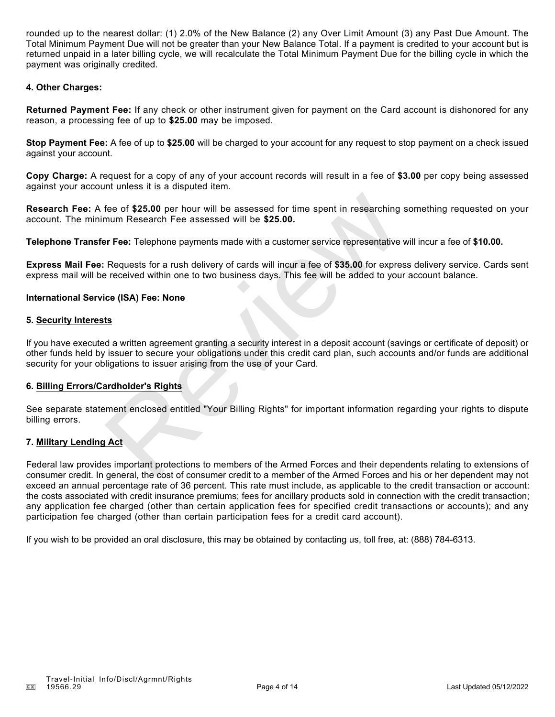rounded up to the nearest dollar: (1) 2.0% of the New Balance (2) any Over Limit Amount (3) any Past Due Amount. The Total Minimum Payment Due will not be greater than your New Balance Total. If a payment is credited to your account but is returned unpaid in a later billing cycle, we will recalculate the Total Minimum Payment Due for the billing cycle in which the payment was originally credited.

## **4. Other Charges:**

**Returned Payment Fee:** If any check or other instrument given for payment on the Card account is dishonored for any reason, a processing fee of up to **\$25.00** may be imposed.

**Stop Payment Fee:** A fee of up to **\$25.00** will be charged to your account for any request to stop payment on a check issued against your account.

**Copy Charge:** A request for a copy of any of your account records will result in a fee of **\$3.00** per copy being assessed against your account unless it is a disputed item.

**Research Fee:** A fee of **\$25.00** per hour will be assessed for time spent in researching something requested on your account. The minimum Research Fee assessed will be **\$25.00.**

**Telephone Transfer Fee:** Telephone payments made with a customer service representative will incur a fee of **\$10.00.**

**Express Mail Fee:** Requests for a rush delivery of cards will incur a fee of **\$35.00** for express delivery service. Cards sent express mail will be received within one to two business days. This fee will be added to your account balance.

#### **International Service (ISA) Fee: None**

### **5. Security Interests**

If you have executed a written agreement granting a security interest in a deposit account (savings or certificate of deposit) or other funds held by issuer to secure your obligations under this credit card plan, such accounts and/or funds are additional security for your obligations to issuer arising from the use of your Card. fee of \$25.00 per hour will be assessed for time spent in researching<br>mum Research Fee assessed will be \$25.00.<br>Per Fee: Telephone payments made with a customer service representative<br>reverses for a rush delivery of cards

### **6. Billing Errors/Cardholder's Rights**

See separate statement enclosed entitled "Your Billing Rights" for important information regarding your rights to dispute billing errors.

### **7. Military Lending Act**

Federal law provides important protections to members of the Armed Forces and their dependents relating to extensions of consumer credit. In general, the cost of consumer credit to a member of the Armed Forces and his or her dependent may not exceed an annual percentage rate of 36 percent. This rate must include, as applicable to the credit transaction or account: the costs associated with credit insurance premiums; fees for ancillary products sold in connection with the credit transaction; any application fee charged (other than certain application fees for specified credit transactions or accounts); and any participation fee charged (other than certain participation fees for a credit card account).

If you wish to be provided an oral disclosure, this may be obtained by contacting us, toll free, at: (888) 784-6313.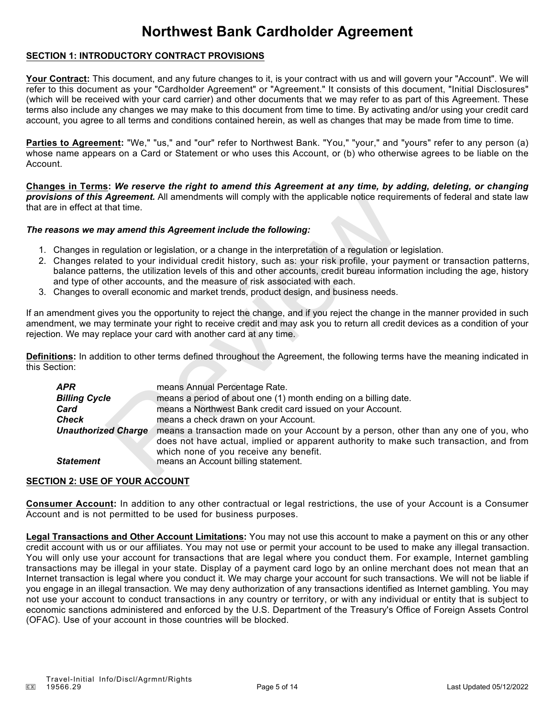# **Northwest Bank Cardholder Agreement**

## **SECTION 1: INTRODUCTORY CONTRACT PROVISIONS**

Your Contract: This document, and any future changes to it, is your contract with us and will govern your "Account". We will refer to this document as your "Cardholder Agreement" or "Agreement." It consists of this document, "Initial Disclosures" (which will be received with your card carrier) and other documents that we may refer to as part of this Agreement. These terms also include any changes we may make to this document from time to time. By activating and/or using your credit card account, you agree to all terms and conditions contained herein, as well as changes that may be made from time to time.

Parties to Agreement: "We," "us," and "our" refer to Northwest Bank. "You," "your," and "yours" refer to any person (a) whose name appears on a Card or Statement or who uses this Account, or (b) who otherwise agrees to be liable on the Account.

**Changes in Terms:** *We reserve the right to amend this Agreement at any time, by adding, deleting, or changing provisions of this Agreement.* All amendments will comply with the applicable notice requirements of federal and state law that are in effect at that time.

### *The reasons we may amend this Agreement include the following:*

- 1. Changes in regulation or legislation, or a change in the interpretation of a regulation or legislation.
- 2. Changes related to your individual credit history, such as: your risk profile, your payment or transaction patterns, balance patterns, the utilization levels of this and other accounts, credit bureau information including the age, history and type of other accounts, and the measure of risk associated with each.
- 3. Changes to overall economic and market trends, product design, and business needs.

If an amendment gives you the opportunity to reject the change, and if you reject the change in the manner provided in such amendment, we may terminate your right to receive credit and may ask you to return all credit devices as a condition of your rejection. We may replace your card with another card at any time.

**Definitions:** In addition to other terms defined throughout the Agreement, the following terms have the meaning indicated in this Section:

| in effect at that time.                                                                                                                                                                                                                                                                                                                                                                                                                                                                                                         | <b>ons of this Agreement.</b> All amendments will comply with the applicable notice requirements of federal and state law                                                                                                                                                                                     |  |  |
|---------------------------------------------------------------------------------------------------------------------------------------------------------------------------------------------------------------------------------------------------------------------------------------------------------------------------------------------------------------------------------------------------------------------------------------------------------------------------------------------------------------------------------|---------------------------------------------------------------------------------------------------------------------------------------------------------------------------------------------------------------------------------------------------------------------------------------------------------------|--|--|
|                                                                                                                                                                                                                                                                                                                                                                                                                                                                                                                                 | sons we may amend this Agreement include the following:                                                                                                                                                                                                                                                       |  |  |
| Changes in regulation or legislation, or a change in the interpretation of a regulation or legislation.<br>Changes related to your individual credit history, such as: your risk profile, your payment or transaction patterns,<br>palance patterns, the utilization levels of this and other accounts, credit bureau information including the age, history<br>and type of other accounts, and the measure of risk associated with each.<br>Changes to overall economic and market trends, product design, and business needs. |                                                                                                                                                                                                                                                                                                               |  |  |
|                                                                                                                                                                                                                                                                                                                                                                                                                                                                                                                                 | nendment gives you the opportunity to reject the change, and if you reject the change in the manner provided in such<br>nent, we may terminate your right to receive credit and may ask you to return all credit devices as a condition of your<br>n. We may replace your card with another card at any time. |  |  |
| :tion:                                                                                                                                                                                                                                                                                                                                                                                                                                                                                                                          | ions: In addition to other terms defined throughout the Agreement, the following terms have the meaning indicated in                                                                                                                                                                                          |  |  |
| APR                                                                                                                                                                                                                                                                                                                                                                                                                                                                                                                             | means Annual Percentage Rate.                                                                                                                                                                                                                                                                                 |  |  |
| <b>Billing Cycle</b>                                                                                                                                                                                                                                                                                                                                                                                                                                                                                                            | means a period of about one (1) month ending on a billing date.                                                                                                                                                                                                                                               |  |  |
| Card                                                                                                                                                                                                                                                                                                                                                                                                                                                                                                                            | means a Northwest Bank credit card issued on your Account.                                                                                                                                                                                                                                                    |  |  |
| <b>Check</b>                                                                                                                                                                                                                                                                                                                                                                                                                                                                                                                    | means a check drawn on your Account.                                                                                                                                                                                                                                                                          |  |  |
| <b>Unauthorized Charge</b>                                                                                                                                                                                                                                                                                                                                                                                                                                                                                                      | means a transaction made on your Account by a person, other than any one of you, who<br>does not have actual, implied or apparent authority to make such transaction, and from<br>which none of you receive any benefit.                                                                                      |  |  |
| <b>Statement</b>                                                                                                                                                                                                                                                                                                                                                                                                                                                                                                                | means an Account billing statement.                                                                                                                                                                                                                                                                           |  |  |

# **SECTION 2: USE OF YOUR ACCOUNT**

**Consumer Account:** In addition to any other contractual or legal restrictions, the use of your Account is a Consumer Account and is not permitted to be used for business purposes.

**Legal Transactions and Other Account Limitations:** You may not use this account to make a payment on this or any other credit account with us or our affiliates. You may not use or permit your account to be used to make any illegal transaction. You will only use your account for transactions that are legal where you conduct them. For example, Internet gambling transactions may be illegal in your state. Display of a payment card logo by an online merchant does not mean that an Internet transaction is legal where you conduct it. We may charge your account for such transactions. We will not be liable if you engage in an illegal transaction. We may deny authorization of any transactions identified as Internet gambling. You may not use your account to conduct transactions in any country or territory, or with any individual or entity that is subject to economic sanctions administered and enforced by the U.S. Department of the Treasury's Office of Foreign Assets Control (OFAC). Use of your account in those countries will be blocked.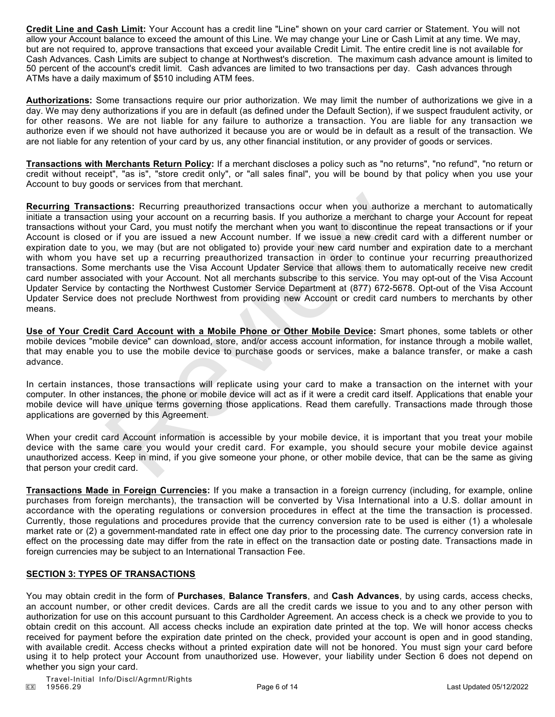**Credit Line and Cash Limit:** Your Account has a credit line "Line" shown on your card carrier or Statement. You will not allow your Account balance to exceed the amount of this Line. We may change your Line or Cash Limit at any time. We may, but are not required to, approve transactions that exceed your available Credit Limit. The entire credit line is not available for Cash Advances. Cash Limits are subject to change at Northwest's discretion. The maximum cash advance amount is limited to 50 percent of the account's credit limit. Cash advances are limited to two transactions per day. Cash advances through ATMs have a daily maximum of \$510 including ATM fees.

**Authorizations:** Some transactions require our prior authorization. We may limit the number of authorizations we give in a day. We may deny authorizations if you are in default (as defined under the Default Section), if we suspect fraudulent activity, or for other reasons. We are not liable for any failure to authorize a transaction. You are liable for any transaction we authorize even if we should not have authorized it because you are or would be in default as a result of the transaction. We are not liable for any retention of your card by us, any other financial institution, or any provider of goods or services.

**Transactions with Merchants Return Policy:** If a merchant discloses a policy such as "no returns", "no refund", "no return or credit without receipt", "as is", "store credit only", or "all sales final", you will be bound by that policy when you use your Account to buy goods or services from that merchant.

**Recurring Transactions:** Recurring preauthorized transactions occur when you authorize a merchant to automatically initiate a transaction using your account on a recurring basis. If you authorize a merchant to charge your Account for repeat transactions without your Card, you must notify the merchant when you want to discontinue the repeat transactions or if your Account is closed or if you are issued a new Account number. If we issue a new credit card with a different number or expiration date to you, we may (but are not obligated to) provide your new card number and expiration date to a merchant with whom you have set up a recurring preauthorized transaction in order to continue your recurring preauthorized transactions. Some merchants use the Visa Account Updater Service that allows them to automatically receive new credit card number associated with your Account. Not all merchants subscribe to this service. You may opt-out of the Visa Account Updater Service by contacting the Northwest Customer Service Department at (877) 672-5678. Opt-out of the Visa Account Updater Service does not preclude Northwest from providing new Account or credit card numbers to merchants by other means. nations: Recurring preauthorized transactions occur when you authorize a n using your account on a recurring basis. If you authorize a merchant to charge or if you card, you must notify the merchant when you want fo discon

**Use of Your Credit Card Account with a Mobile Phone or Other Mobile Device:** Smart phones, some tablets or other mobile devices "mobile device" can download, store, and/or access account information, for instance through a mobile wallet, that may enable you to use the mobile device to purchase goods or services, make a balance transfer, or make a cash advance.

In certain instances, those transactions will replicate using your card to make a transaction on the internet with your computer. In other instances, the phone or mobile device will act as if it were a credit card itself. Applications that enable your mobile device will have unique terms governing those applications. Read them carefully. Transactions made through those applications are governed by this Agreement.

When your credit card Account information is accessible by your mobile device, it is important that you treat your mobile device with the same care you would your credit card. For example, you should secure your mobile device against unauthorized access. Keep in mind, if you give someone your phone, or other mobile device, that can be the same as giving that person your credit card.

**Transactions Made in Foreign Currencies:** If you make a transaction in a foreign currency (including, for example, online purchases from foreign merchants), the transaction will be converted by Visa International into a U.S. dollar amount in accordance with the operating regulations or conversion procedures in effect at the time the transaction is processed. Currently, those regulations and procedures provide that the currency conversion rate to be used is either (1) a wholesale market rate or (2) a government-mandated rate in effect one day prior to the processing date. The currency conversion rate in effect on the processing date may differ from the rate in effect on the transaction date or posting date. Transactions made in foreign currencies may be subject to an International Transaction Fee.

### **SECTION 3: TYPES OF TRANSACTIONS**

You may obtain credit in the form of **Purchases**, **Balance Transfers**, and **Cash Advances**, by using cards, access checks, an account number, or other credit devices. Cards are all the credit cards we issue to you and to any other person with authorization for use on this account pursuant to this Cardholder Agreement. An access check is a check we provide to you to obtain credit on this account. All access checks include an expiration date printed at the top. We will honor access checks received for payment before the expiration date printed on the check, provided your account is open and in good standing, with available credit. Access checks without a printed expiration date will not be honored. You must sign your card before using it to help protect your Account from unauthorized use. However, your liability under Section 6 does not depend on whether you sign your card.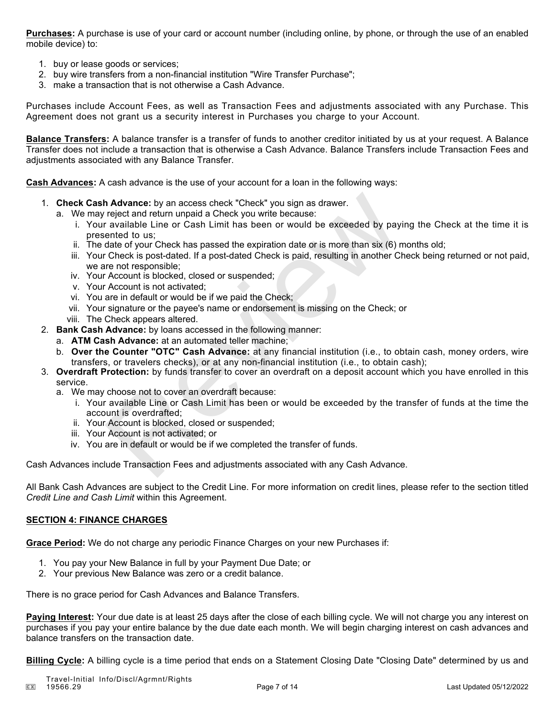**Purchases:** A purchase is use of your card or account number (including online, by phone, or through the use of an enabled mobile device) to:

- 1. buy or lease goods or services;
- 2. buy wire transfers from a non-financial institution "Wire Transfer Purchase";
- 3. make a transaction that is not otherwise a Cash Advance.

Purchases include Account Fees, as well as Transaction Fees and adjustments associated with any Purchase. This Agreement does not grant us a security interest in Purchases you charge to your Account.

**Balance Transfers:** A balance transfer is a transfer of funds to another creditor initiated by us at your request. A Balance Transfer does not include a transaction that is otherwise a Cash Advance. Balance Transfers include Transaction Fees and adjustments associated with any Balance Transfer.

**Cash Advances:** A cash advance is the use of your account for a loan in the following ways:

- 1. **Check Cash Advance:** by an access check "Check" you sign as drawer.
	- a. We may reject and return unpaid a Check you write because:
- i. Your available Line or Cash Limit has been or would be exceeded by paying the Check at the time it is presented to us; **h Advance:** by an access check "Check" you sign as drawer.<br> *r* reject and return unpaid a Check you write because:<br> *r* available Line or Cash Limit has been or would be exceeded by pay<br>
sented to us;<br>
date of your Check
	- ii. The date of your Check has passed the expiration date or is more than six (6) months old;
	- iii. Your Check is post-dated. If a post-dated Check is paid, resulting in another Check being returned or not paid, we are not responsible;
	- iv. Your Account is blocked, closed or suspended;
	- v. Your Account is not activated;
	- vi. You are in default or would be if we paid the Check;
	- vii. Your signature or the payee's name or endorsement is missing on the Check; or
	- viii. The Check appears altered.
- 2. **Bank Cash Advance:** by loans accessed in the following manner:
	- a. **ATM Cash Advance:** at an automated teller machine;
	- b. **Over the Counter "OTC" Cash Advance:** at any financial institution (i.e., to obtain cash, money orders, wire transfers, or travelers checks), or at any non-financial institution (i.e., to obtain cash);
- 3. **Overdraft Protection:** by funds transfer to cover an overdraft on a deposit account which you have enrolled in this service.
	- a. We may choose not to cover an overdraft because:
		- i. Your available Line or Cash Limit has been or would be exceeded by the transfer of funds at the time the account is overdrafted;
		- ii. Your Account is blocked, closed or suspended;
		- iii. Your Account is not activated; or
		- iv. You are in default or would be if we completed the transfer of funds.

Cash Advances include Transaction Fees and adjustments associated with any Cash Advance.

All Bank Cash Advances are subject to the Credit Line. For more information on credit lines, please refer to the section titled *Credit Line and Cash Limit* within this Agreement.

### **SECTION 4: FINANCE CHARGES**

**Grace Period:** We do not charge any periodic Finance Charges on your new Purchases if:

- 1. You pay your New Balance in full by your Payment Due Date; or
- 2. Your previous New Balance was zero or a credit balance.

There is no grace period for Cash Advances and Balance Transfers.

**Paying Interest:** Your due date is at least 25 days after the close of each billing cycle. We will not charge you any interest on purchases if you pay your entire balance by the due date each month. We will begin charging interest on cash advances and balance transfers on the transaction date.

**Billing Cycle:** A billing cycle is a time period that ends on a Statement Closing Date "Closing Date" determined by us and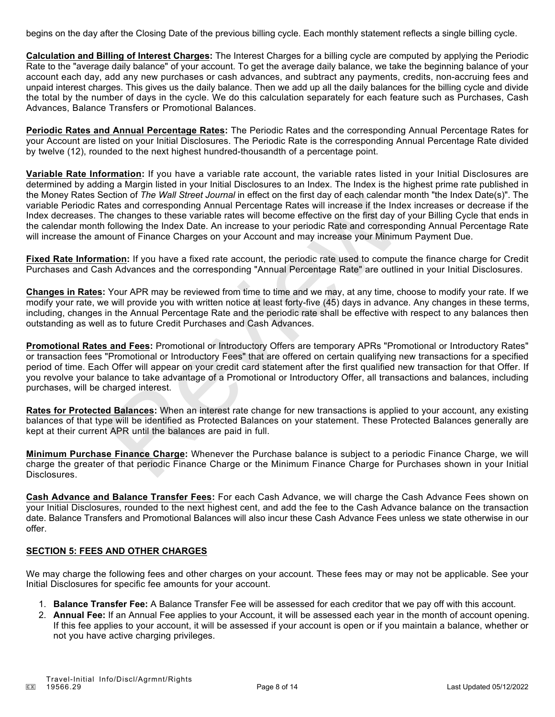begins on the day after the Closing Date of the previous billing cycle. Each monthly statement reflects a single billing cycle.

**Calculation and Billing of Interest Charges:** The Interest Charges for a billing cycle are computed by applying the Periodic Rate to the "average daily balance" of your account. To get the average daily balance, we take the beginning balance of your account each day, add any new purchases or cash advances, and subtract any payments, credits, non-accruing fees and unpaid interest charges. This gives us the daily balance. Then we add up all the daily balances for the billing cycle and divide the total by the number of days in the cycle. We do this calculation separately for each feature such as Purchases, Cash Advances, Balance Transfers or Promotional Balances.

**Periodic Rates and Annual Percentage Rates:** The Periodic Rates and the corresponding Annual Percentage Rates for your Account are listed on your Initial Disclosures. The Periodic Rate is the corresponding Annual Percentage Rate divided by twelve (12), rounded to the next highest hundred-thousandth of a percentage point.

**Variable Rate Information:** If you have a variable rate account, the variable rates listed in your Initial Disclosures are determined by adding a Margin listed in your Initial Disclosures to an Index. The Index is the highest prime rate published in the Money Rates Section of *The Wall Street Journal* in effect on the first day of each calendar month "the Index Date(s)". The variable Periodic Rates and corresponding Annual Percentage Rates will increase if the Index increases or decrease if the Index decreases. The changes to these variable rates will become effective on the first day of your Billing Cycle that ends in the calendar month following the Index Date. An increase to your periodic Rate and corresponding Annual Percentage Rate will increase the amount of Finance Charges on your Account and may increase your Minimum Payment Due.

**Fixed Rate Information:** If you have a fixed rate account, the periodic rate used to compute the finance charge for Credit Purchases and Cash Advances and the corresponding "Annual Percentage Rate" are outlined in your Initial Disclosures.

**Changes in Rates:** Your APR may be reviewed from time to time and we may, at any time, choose to modify your rate. If we modify your rate, we will provide you with written notice at least forty-five (45) days in advance. Any changes in these terms, including, changes in the Annual Percentage Rate and the periodic rate shall be effective with respect to any balances then outstanding as well as to future Credit Purchases and Cash Advances.

**Promotional Rates and Fees:** Promotional or Introductory Offers are temporary APRs "Promotional or Introductory Rates" or transaction fees "Promotional or Introductory Fees" that are offered on certain qualifying new transactions for a specified period of time. Each Offer will appear on your credit card statement after the first qualified new transaction for that Offer. If you revolve your balance to take advantage of a Promotional or Introductory Offer, all transactions and balances, including purchases, will be charged interest. ection or *I ne wall street Journal in* effect on the first day of each calendar<br>atates and corresponding Annual Percentage Rates will increase if the Ind<br>he changes to these variable rates will become effective on the fir

**Rates for Protected Balances:** When an interest rate change for new transactions is applied to your account, any existing balances of that type will be identified as Protected Balances on your statement. These Protected Balances generally are kept at their current APR until the balances are paid in full.

**Minimum Purchase Finance Charge:** Whenever the Purchase balance is subject to a periodic Finance Charge, we will charge the greater of that periodic Finance Charge or the Minimum Finance Charge for Purchases shown in your Initial Disclosures.

**Cash Advance and Balance Transfer Fees:** For each Cash Advance, we will charge the Cash Advance Fees shown on your Initial Disclosures, rounded to the next highest cent, and add the fee to the Cash Advance balance on the transaction date. Balance Transfers and Promotional Balances will also incur these Cash Advance Fees unless we state otherwise in our offer.

# **SECTION 5: FEES AND OTHER CHARGES**

We may charge the following fees and other charges on your account. These fees may or may not be applicable. See your Initial Disclosures for specific fee amounts for your account.

- 1. **Balance Transfer Fee:** A Balance Transfer Fee will be assessed for each creditor that we pay off with this account.
- 2. **Annual Fee:** If an Annual Fee applies to your Account, it will be assessed each year in the month of account opening. If this fee applies to your account, it will be assessed if your account is open or if you maintain a balance, whether or not you have active charging privileges.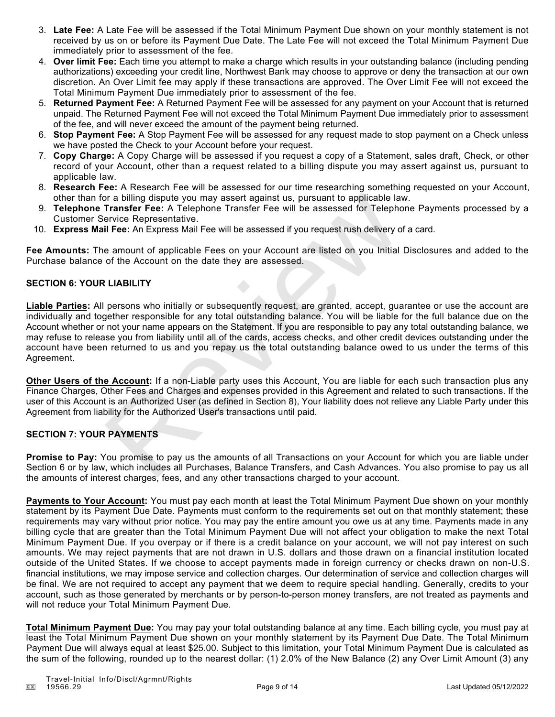- 3. **Late Fee:** A Late Fee will be assessed if the Total Minimum Payment Due shown on your monthly statement is not received by us on or before its Payment Due Date. The Late Fee will not exceed the Total Minimum Payment Due immediately prior to assessment of the fee.
- 4. **Over limit Fee:** Each time you attempt to make a charge which results in your outstanding balance (including pending authorizations) exceeding your credit line, Northwest Bank may choose to approve or deny the transaction at our own discretion. An Over Limit fee may apply if these transactions are approved. The Over Limit Fee will not exceed the Total Minimum Payment Due immediately prior to assessment of the fee.
- 5. **Returned Payment Fee:** A Returned Payment Fee will be assessed for any payment on your Account that is returned unpaid. The Returned Payment Fee will not exceed the Total Minimum Payment Due immediately prior to assessment of the fee, and will never exceed the amount of the payment being returned.
- 6. **Stop Payment Fee:** A Stop Payment Fee will be assessed for any request made to stop payment on a Check unless we have posted the Check to your Account before your request.
- 7. **Copy Charge:** A Copy Charge will be assessed if you request a copy of a Statement, sales draft, Check, or other record of your Account, other than a request related to a billing dispute you may assert against us, pursuant to applicable law.
- 8. **Research Fee:** A Research Fee will be assessed for our time researching something requested on your Account, other than for a billing dispute you may assert against us, pursuant to applicable law.
- 9. **Telephone Transfer Fee:** A Telephone Transfer Fee will be assessed for Telephone Payments processed by a Customer Service Representative.
- 10. **Express Mail Fee:** An Express Mail Fee will be assessed if you request rush delivery of a card.

**Fee Amounts:** The amount of applicable Fees on your Account are listed on you Initial Disclosures and added to the Purchase balance of the Account on the date they are assessed.

## **SECTION 6: YOUR LIABILITY**

**Liable Parties:** All persons who initially or subsequently request, are granted, accept, guarantee or use the account are individually and together responsible for any total outstanding balance. You will be liable for the full balance due on the Account whether or not your name appears on the Statement. If you are responsible to pay any total outstanding balance, we may refuse to release you from liability until all of the cards, access checks, and other credit devices outstanding under the account have been returned to us and you repay us the total outstanding balance owed to us under the terms of this Agreement. or a billing dispute you may assert against us, pursuant to applicable la<br>
Transfer Fee: A Telephone Transfer Fee will be assessed for Telephone<br>
Fransfer Fee: A Telephone Transfer Fee will be assessed for Telephone<br>
if Fe

**Other Users of the Account:** If a non-Liable party uses this Account, You are liable for each such transaction plus any Finance Charges, Other Fees and Charges and expenses provided in this Agreement and related to such transactions. If the user of this Account is an Authorized User (as defined in Section 8), Your liability does not relieve any Liable Party under this Agreement from liability for the Authorized User's transactions until paid.

# **SECTION 7: YOUR PAYMENTS**

**Promise to Pay:** You promise to pay us the amounts of all Transactions on your Account for which you are liable under Section 6 or by law, which includes all Purchases, Balance Transfers, and Cash Advances. You also promise to pay us all the amounts of interest charges, fees, and any other transactions charged to your account.

**Payments to Your Account:** You must pay each month at least the Total Minimum Payment Due shown on your monthly statement by its Payment Due Date. Payments must conform to the requirements set out on that monthly statement; these requirements may vary without prior notice. You may pay the entire amount you owe us at any time. Payments made in any billing cycle that are greater than the Total Minimum Payment Due will not affect your obligation to make the next Total Minimum Payment Due. If you overpay or if there is a credit balance on your account, we will not pay interest on such amounts. We may reject payments that are not drawn in U.S. dollars and those drawn on a financial institution located outside of the United States. If we choose to accept payments made in foreign currency or checks drawn on non-U.S. financial institutions, we may impose service and collection charges. Our determination of service and collection charges will be final. We are not required to accept any payment that we deem to require special handling. Generally, credits to your account, such as those generated by merchants or by person-to-person money transfers, are not treated as payments and will not reduce your Total Minimum Payment Due.

**Total Minimum Payment Due:** You may pay your total outstanding balance at any time. Each billing cycle, you must pay at least the Total Minimum Payment Due shown on your monthly statement by its Payment Due Date. The Total Minimum Payment Due will always equal at least \$25.00. Subject to this limitation, your Total Minimum Payment Due is calculated as the sum of the following, rounded up to the nearest dollar: (1) 2.0% of the New Balance (2) any Over Limit Amount (3) any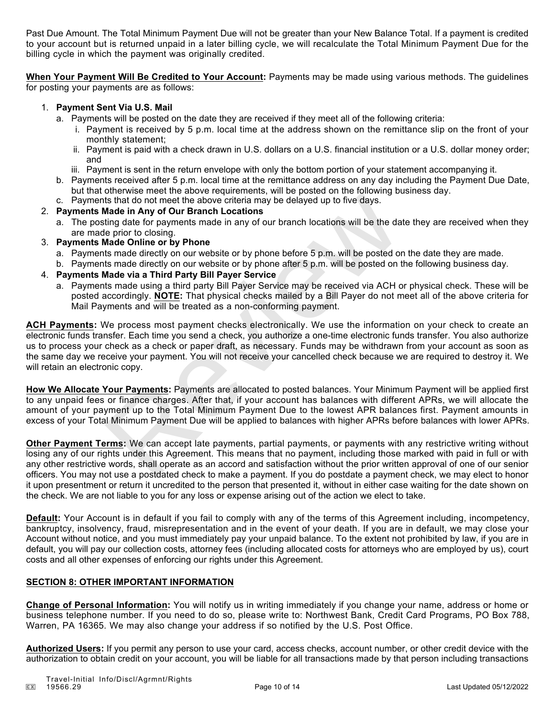Past Due Amount. The Total Minimum Payment Due will not be greater than your New Balance Total. If a payment is credited to your account but is returned unpaid in a later billing cycle, we will recalculate the Total Minimum Payment Due for the billing cycle in which the payment was originally credited.

**When Your Payment Will Be Credited to Your Account:** Payments may be made using various methods. The guidelines for posting your payments are as follows:

# 1. **Payment Sent Via U.S. Mail**

- a. Payments will be posted on the date they are received if they meet all of the following criteria:
	- i. Payment is received by 5 p.m. local time at the address shown on the remittance slip on the front of your monthly statement;
	- ii. Payment is paid with a check drawn in U.S. dollars on a U.S. financial institution or a U.S. dollar money order; and
	- iii. Payment is sent in the return envelope with only the bottom portion of your statement accompanying it.
- b. Payments received after 5 p.m. local time at the remittance address on any day including the Payment Due Date, but that otherwise meet the above requirements, will be posted on the following business day.
- c. Payments that do not meet the above criteria may be delayed up to five days.

# 2. **Payments Made in Any of Our Branch Locations**

- a. The posting date for payments made in any of our branch locations will be the date they are received when they are made prior to closing.
- 3. **Payments Made Online or by Phone**
	- a. Payments made directly on our website or by phone before 5 p.m. will be posted on the date they are made.
	- b. Payments made directly on our website or by phone after 5 p.m. will be posted on the following business day.
- 4. **Payments Made via a Third Party Bill Payer Service**
	- a. Payments made using a third party Bill Payer Service may be received via ACH or physical check. These will be posted accordingly. **NOTE:** That physical checks mailed by a Bill Payer do not meet all of the above criteria for Mail Payments and will be treated as a non-conforming payment.

**ACH Payments:** We process most payment checks electronically. We use the information on your check to create an electronic funds transfer. Each time you send a check, you authorize a one-time electronic funds transfer. You also authorize us to process your check as a check or paper draft, as necessary. Funds may be withdrawn from your account as soon as the same day we receive your payment. You will not receive your cancelled check because we are required to destroy it. We will retain an electronic copy. the that do not meet the above criteria may be delayed up to five days.<br>
Wade in Any of Our Branch Locations<br>
with dight of Our Branch Locations<br>
with dighted on the chost particle and in any of our branch locations will b

**How We Allocate Your Payments:** Payments are allocated to posted balances. Your Minimum Payment will be applied first to any unpaid fees or finance charges. After that, if your account has balances with different APRs, we will allocate the amount of your payment up to the Total Minimum Payment Due to the lowest APR balances first. Payment amounts in excess of your Total Minimum Payment Due will be applied to balances with higher APRs before balances with lower APRs.

**Other Payment Terms:** We can accept late payments, partial payments, or payments with any restrictive writing without losing any of our rights under this Agreement. This means that no payment, including those marked with paid in full or with any other restrictive words, shall operate as an accord and satisfaction without the prior written approval of one of our senior officers. You may not use a postdated check to make a payment. If you do postdate a payment check, we may elect to honor it upon presentment or return it uncredited to the person that presented it, without in either case waiting for the date shown on the check. We are not liable to you for any loss or expense arising out of the action we elect to take.

**Default:** Your Account is in default if you fail to comply with any of the terms of this Agreement including, incompetency, bankruptcy, insolvency, fraud, misrepresentation and in the event of your death. If you are in default, we may close your Account without notice, and you must immediately pay your unpaid balance. To the extent not prohibited by law, if you are in default, you will pay our collection costs, attorney fees (including allocated costs for attorneys who are employed by us), court costs and all other expenses of enforcing our rights under this Agreement.

# **SECTION 8: OTHER IMPORTANT INFORMATION**

**Change of Personal Information:** You will notify us in writing immediately if you change your name, address or home or business telephone number. If you need to do so, please write to: Northwest Bank, Credit Card Programs, PO Box 788, Warren, PA 16365. We may also change your address if so notified by the U.S. Post Office.

**Authorized Users:** If you permit any person to use your card, access checks, account number, or other credit device with the authorization to obtain credit on your account, you will be liable for all transactions made by that person including transactions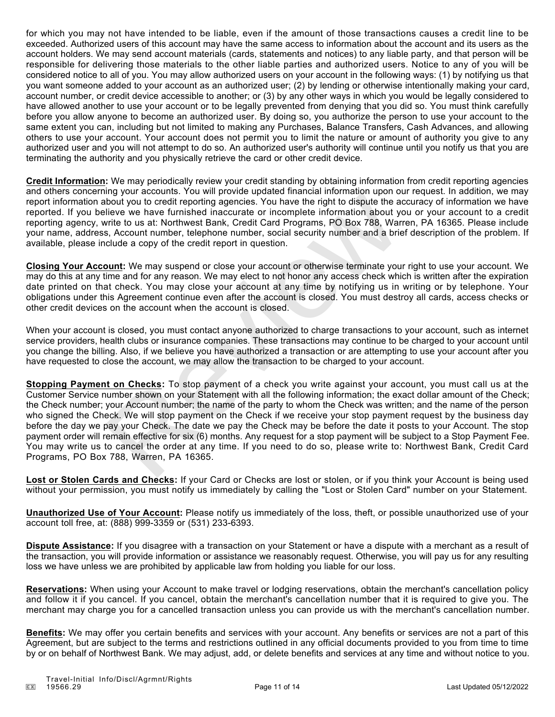for which you may not have intended to be liable, even if the amount of those transactions causes a credit line to be exceeded. Authorized users of this account may have the same access to information about the account and its users as the account holders. We may send account materials (cards, statements and notices) to any liable party, and that person will be responsible for delivering those materials to the other liable parties and authorized users. Notice to any of you will be considered notice to all of you. You may allow authorized users on your account in the following ways: (1) by notifying us that you want someone added to your account as an authorized user; (2) by lending or otherwise intentionally making your card, account number, or credit device accessible to another; or (3) by any other ways in which you would be legally considered to have allowed another to use your account or to be legally prevented from denying that you did so. You must think carefully before you allow anyone to become an authorized user. By doing so, you authorize the person to use your account to the same extent you can, including but not limited to making any Purchases, Balance Transfers, Cash Advances, and allowing others to use your account. Your account does not permit you to limit the nature or amount of authority you give to any authorized user and you will not attempt to do so. An authorized user's authority will continue until you notify us that you are terminating the authority and you physically retrieve the card or other credit device.

**Credit Information:** We may periodically review your credit standing by obtaining information from credit reporting agencies and others concerning your accounts. You will provide updated financial information upon our request. In addition, we may report information about you to credit reporting agencies. You have the right to dispute the accuracy of information we have reported. If you believe we have furnished inaccurate or incomplete information about you or your account to a credit reporting agency, write to us at: Northwest Bank, Credit Card Programs, PO Box 788, Warren, PA 16365. Please include your name, address, Account number, telephone number, social security number and a brief description of the problem. If available, please include a copy of the credit report in question.

**Closing Your Account:** We may suspend or close your account or otherwise terminate your right to use your account. We may do this at any time and for any reason. We may elect to not honor any access check which is written after the expiration date printed on that check. You may close your account at any time by notifying us in writing or by telephone. Your obligations under this Agreement continue even after the account is closed. You must destroy all cards, access checks or other credit devices on the account when the account is closed.

When your account is closed, you must contact anyone authorized to charge transactions to your account, such as internet service providers, health clubs or insurance companies. These transactions may continue to be charged to your account until you change the billing. Also, if we believe you have authorized a transaction or are attempting to use your account after you have requested to close the account, we may allow the transaction to be charged to your account.

**Stopping Payment on Checks:** To stop payment of a check you write against your account, you must call us at the Customer Service number shown on your Statement with all the following information; the exact dollar amount of the Check; the Check number; your Account number; the name of the party to whom the Check was written; and the name of the person who signed the Check. We will stop payment on the Check if we receive your stop payment request by the business day before the day we pay your Check. The date we pay the Check may be before the date it posts to your Account. The stop payment order will remain effective for six (6) months. Any request for a stop payment will be subject to a Stop Payment Fee. You may write us to cancel the order at any time. If you need to do so, please write to: Northwest Bank, Credit Card Programs, PO Box 788, Warren, PA 16365. my you coordict reporting agencies. You have the right to dispute the a<br>labout you to credit reporting agencies. You have the right to dispute the a<br>lielive we have furnished inaccurate or incomplete information about y<br>wr

**Lost or Stolen Cards and Checks:** If your Card or Checks are lost or stolen, or if you think your Account is being used without your permission, you must notify us immediately by calling the "Lost or Stolen Card" number on your Statement.

**Unauthorized Use of Your Account:** Please notify us immediately of the loss, theft, or possible unauthorized use of your account toll free, at: (888) 999-3359 or (531) 233-6393.

**Dispute Assistance:** If you disagree with a transaction on your Statement or have a dispute with a merchant as a result of the transaction, you will provide information or assistance we reasonably request. Otherwise, you will pay us for any resulting loss we have unless we are prohibited by applicable law from holding you liable for our loss.

**Reservations:** When using your Account to make travel or lodging reservations, obtain the merchant's cancellation policy and follow it if you cancel. If you cancel, obtain the merchant's cancellation number that it is required to give you. The merchant may charge you for a cancelled transaction unless you can provide us with the merchant's cancellation number.

**Benefits:** We may offer you certain benefits and services with your account. Any benefits or services are not a part of this Agreement, but are subject to the terms and restrictions outlined in any official documents provided to you from time to time by or on behalf of Northwest Bank. We may adjust, add, or delete benefits and services at any time and without notice to you.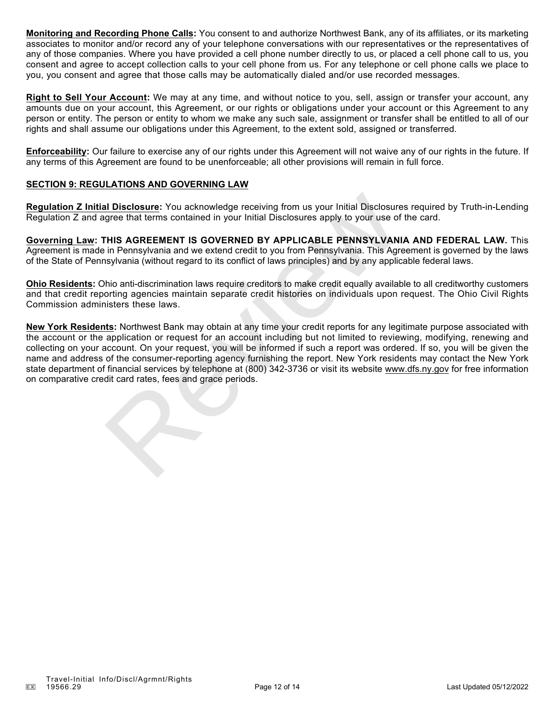**Monitoring and Recording Phone Calls:** You consent to and authorize Northwest Bank, any of its affiliates, or its marketing associates to monitor and/or record any of your telephone conversations with our representatives or the representatives of any of those companies. Where you have provided a cell phone number directly to us, or placed a cell phone call to us, you consent and agree to accept collection calls to your cell phone from us. For any telephone or cell phone calls we place to you, you consent and agree that those calls may be automatically dialed and/or use recorded messages.

**Right to Sell Your Account:** We may at any time, and without notice to you, sell, assign or transfer your account, any amounts due on your account, this Agreement, or our rights or obligations under your account or this Agreement to any person or entity. The person or entity to whom we make any such sale, assignment or transfer shall be entitled to all of our rights and shall assume our obligations under this Agreement, to the extent sold, assigned or transferred.

**Enforceability:** Our failure to exercise any of our rights under this Agreement will not waive any of our rights in the future. If any terms of this Agreement are found to be unenforceable; all other provisions will remain in full force.

# **SECTION 9: REGULATIONS AND GOVERNING LAW**

**Regulation Z Initial Disclosure:** You acknowledge receiving from us your Initial Disclosures required by Truth-in-Lending Regulation Z and agree that terms contained in your Initial Disclosures apply to your use of the card.

**Governing Law: THIS AGREEMENT IS GOVERNED BY APPLICABLE PENNSYLVANIA AND FEDERAL LAW.** This Agreement is made in Pennsylvania and we extend credit to you from Pennsylvania. This Agreement is governed by the laws of the State of Pennsylvania (without regard to its conflict of laws principles) and by any applicable federal laws.

**Ohio Residents:** Ohio anti-discrimination laws require creditors to make credit equally available to all creditworthy customers and that credit reporting agencies maintain separate credit histories on individuals upon request. The Ohio Civil Rights Commission administers these laws.

**New York Residents:** Northwest Bank may obtain at any time your credit reports for any legitimate purpose associated with the account or the application or request for an account including but not limited to reviewing, modifying, renewing and collecting on your account. On your request, you will be informed if such a report was ordered. If so, you will be given the name and address of the consumer-reporting agency furnishing the report. New York residents may contact the New York state department of financial services by telephone at (800) 342-3736 or visit its website www.dfs.ny.gov for free information on comparative credit card rates, fees and grace periods. al Disclosure: You acknowledge receiving from us your Initial Disclosure<br>argree that terms contained in your Initial Disclosures apply to your use of<br>THIS AGREEMENT IS GOVERNED BY APPLICABLE PENNSYLVANI<br>in Pennsylvania and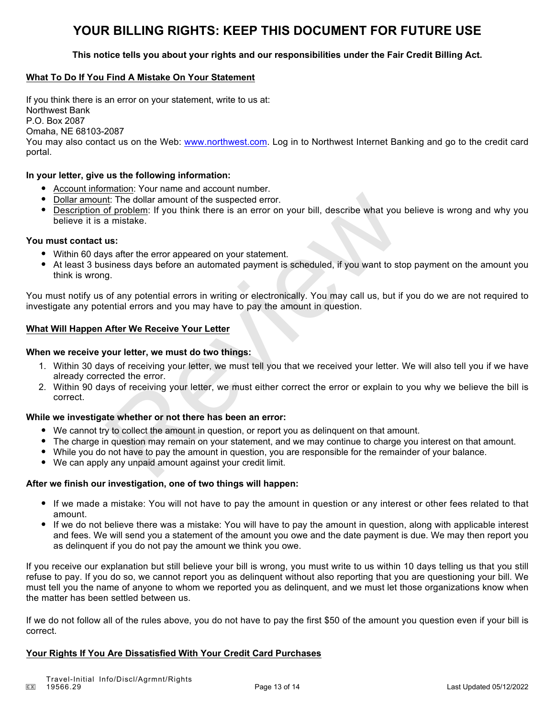# **YOUR BILLING RIGHTS: KEEP THIS DOCUMENT FOR FUTURE USE**

# **This notice tells you about your rights and our responsibilities under the Fair Credit Billing Act.**

# **What To Do If You Find A Mistake On Your Statement**

If you think there is an error on your statement, write to us at: Northwest Bank P.O. Box 2087 Omaha, NE 68103-2087 You may also contact us on the Web: www.northwest.com. Log in to Northwest Internet Banking and go to the credit card

#### **In your letter, give us the following information:**

- Account information: Your name and account number.
- Dollar amount: The dollar amount of the suspected error.
- Description of problem: If you think there is an error on your bill, describe what you believe is wrong and why you believe it is a mistake. nt: The dollar amount of the suspected error.<br>
a mistake.<br>
a mistake.<br>
a mistake.<br>
a mistake.<br>
a mistake.<br>
us:<br>
us:<br>
us:<br>
us:<br>
wys after the error appeared on your statement.<br>
us:<br>
us:<br>
us:<br>
us:<br>
a mistake divided a paymen

#### **You must contact us:**

portal.

- Within 60 days after the error appeared on your statement.
- At least 3 business days before an automated payment is scheduled, if you want to stop payment on the amount you think is wrong.

You must notify us of any potential errors in writing or electronically. You may call us, but if you do we are not required to investigate any potential errors and you may have to pay the amount in question.

#### **What Will Happen After We Receive Your Letter**

#### **When we receive your letter, we must do two things:**

- 1. Within 30 days of receiving your letter, we must tell you that we received your letter. We will also tell you if we have already corrected the error.
- 2. Within 90 days of receiving your letter, we must either correct the error or explain to you why we believe the bill is correct.

### **While we investigate whether or not there has been an error:**

- We cannot try to collect the amount in question, or report you as delinquent on that amount.
- The charge in question may remain on your statement, and we may continue to charge you interest on that amount.
- While you do not have to pay the amount in question, you are responsible for the remainder of your balance.
- We can apply any unpaid amount against your credit limit.

#### **After we finish our investigation, one of two things will happen:**

- If we made a mistake: You will not have to pay the amount in question or any interest or other fees related to that amount.
- If we do not believe there was a mistake: You will have to pay the amount in question, along with applicable interest and fees. We will send you a statement of the amount you owe and the date payment is due. We may then report you as delinquent if you do not pay the amount we think you owe.

If you receive our explanation but still believe your bill is wrong, you must write to us within 10 days telling us that you still refuse to pay. If you do so, we cannot report you as delinquent without also reporting that you are questioning your bill. We must tell you the name of anyone to whom we reported you as delinquent, and we must let those organizations know when the matter has been settled between us.

If we do not follow all of the rules above, you do not have to pay the first \$50 of the amount you question even if your bill is correct.

### **Your Rights If You Are Dissatisfied With Your Credit Card Purchases**